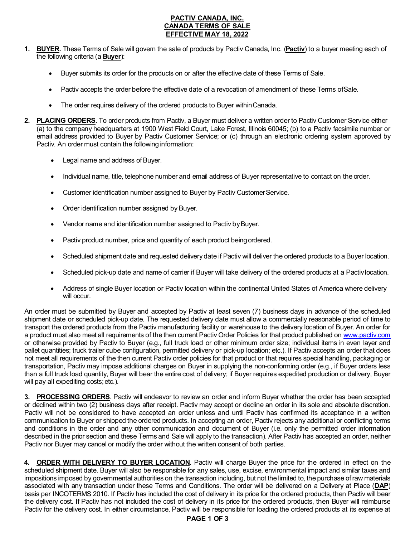## **PACTIV CANADA, INC. CANADA TERMS OF SALE EFFECTIVE MAY 18, 2022**

- **1. BUYER.** These Terms of Sale will govern the sale of products by Pactiv Canada, Inc. (**Pactiv**) to a buyer meeting each of the following criteria (a **Buyer**):
	- Buyer submits its order for the products on or after the effective date of these Terms of Sale.
	- Pactiv accepts the order before the effective date of a revocation of amendment of these Terms ofSale.
	- The order requires delivery of the ordered products to Buyer within Canada.
- **2. PLACING ORDERS.** To order products from Pactiv, a Buyer must deliver a written order to Pactiv Customer Service either (a) to the company headquarters at 1900 West Field Court, Lake Forest, Illinois 60045; (b) to a Pactiv facsimile number or email address provided to Buyer by Pactiv Customer Service; or (c) through an electronic ordering system approved by Pactiv. An order must contain the following information:
	- Legal name and address of Buyer.
	- Individual name, title, telephone number and email address of Buyer representative to contact on the order.
	- Customer identification number assigned to Buyer by Pactiv Customer Service.
	- Order identification number assigned by Buyer.
	- Vendor name and identification number assigned to Pactiv by Buyer.
	- Pactiv product number, price and quantity of each product being ordered.
	- Scheduled shipment date and requested delivery date if Pactiv will deliver the ordered products to a Buyer location.
	- Scheduled pick-up date and name of carrier if Buyer will take delivery of the ordered products at a Pactivlocation.
	- Address of single Buyer location or Pactiv location within the continental United States of America where delivery will occur.

An order must be submitted by Buyer and accepted by Pactiv at least seven (7) business days in advance of the scheduled shipment date or scheduled pick-up date. The requested delivery date must allow a commercially reasonable period of time to transport the ordered products from the Pactiv manufacturing facility or warehouse to the delivery location of Buyer. An order for a product must also meet all requirements of the then current Pactiv Order Policies for that product published on [www.pactiv.com](http://www.pactiv.com/) or otherwise provided by Pactiv to Buyer (e.g., full truck load or other minimum order size; individual items in even layer and pallet quantities; truck trailer cube configuration, permitted delivery or pick-up location; etc.). If Pactiv accepts an order that does not meet all requirements of the then current Pactiv order policies for that product or that requires special handling, packaging or transportation, Pactiv may impose additional charges on Buyer in supplying the non-conforming order (e.g., if Buyer orders less than a full truck load quantity, Buyer will bear the entire cost of delivery; if Buyer requires expedited production or delivery, Buyer will pay all expediting costs; etc.).

**3. PROCESSING ORDERS**. Pactiv will endeavor to review an order and inform Buyer whether the order has been accepted or declined within two (2) business days after receipt. Pactiv may accept or decline an order in its sole and absolute discretion. Pactiv will not be considered to have accepted an order unless and until Pactiv has confirmed its acceptance in a written communication to Buyer or shipped the ordered products. In accepting an order, Pactiv rejects any additional or conflicting terms and conditions in the order and any other communication and document of Buyer (i.e. only the permitted order information described in the prior section and these Terms and Sale will apply to the transaction). After Pactiv has accepted an order, neither Pactiv nor Buyer may cancel or modify the order without the written consent of both parties.

**4. ORDER WITH DELIVERY TO BUYER LOCATION**. Pactiv will charge Buyer the price for the ordered in effect on the scheduled shipment date. Buyer will also be responsible for any sales, use, excise, environmental impact and similar taxes and impositions imposed by governmental authorities on the transaction including, but not the limited to, the purchase of raw materials associated with any transaction under these Terms and Conditions. The order will be delivered on a Delivery at Place (**DAP**) basis per INCOTERMS 2010. If Pactiv has included the cost of delivery in its price for the ordered products, then Pactiv will bear the delivery cost. If Pactiv has not included the cost of delivery in its price for the ordered products, then Buyer will reimburse Pactiv for the delivery cost. In either circumstance, Pactiv will be responsible for loading the ordered products at its expense at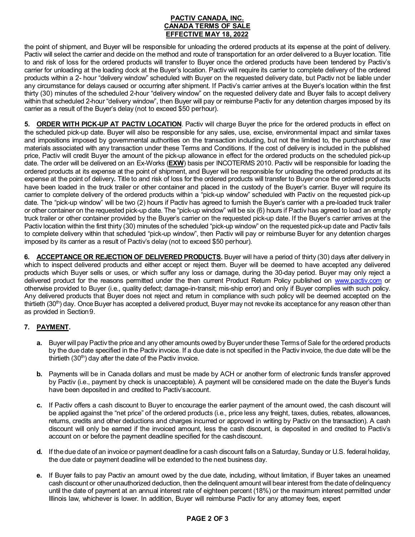## **PACTIV CANADA, INC. CANADA TERMS OF SALE EFFECTIVE MAY 18, 2022**

the point of shipment, and Buyer will be responsible for unloading the ordered products at its expense at the point of delivery. Pactiv will select the carrier and decide on the method and route of transportation for an order delivered to a Buyer location. Title to and risk of loss for the ordered products will transfer to Buyer once the ordered products have been tendered by Pactiv's carrier for unloading at the loading dock at the Buyer's location. Pactiv will require its carrier to complete delivery of the ordered products within a 2- hour "delivery window" scheduled with Buyer on the requested delivery date, but Pactiv not be liable under any circumstance for delays caused or occurring after shipment. If Pactiv's carrier arrives at the Buyer's location within the first thirty (30) minutes of the scheduled 2-hour "delivery window" on the requested delivery date and Buyer fails to accept delivery within that scheduled 2-hour "delivery window", then Buyer will pay or reimburse Pactiv for any detention charges imposed by its carrier as a result of the Buyer's delay (not to exceed \$50 perhour).

**5. ORDER WITH PICK-UP AT PACTIV LOCATION**. Pactiv will charge Buyer the price for the ordered products in effect on the scheduled pick-up date. Buyer will also be responsible for any sales, use, excise, environmental impact and similar taxes and impositions imposed by governmental authorities on the transaction including, but not the limited to, the purchase of raw materials associated with any transaction under these Terms and Conditions. If the cost of delivery is included in the published price, Pactiv will credit Buyer the amount of the pick-up allowance in effect for the ordered products on the scheduled pick-up date. The order will be delivered on an Ex-Works (**EXW**) basis per INCOTERMS 2010. Pactiv will be responsible for loading the ordered products at its expense at the point of shipment, and Buyer will be responsible for unloading the ordered products at its expense at the point of delivery**.** Title to and risk of loss for the ordered products will transfer to Buyer once the ordered products have been loaded in the truck trailer or other container and placed in the custody of the Buyer's carrier. Buyer will require its carrier to complete delivery of the ordered products within a "pick-up window" scheduled with Pactiv on the requested pick-up date. The "pick-up window" will be two (2) hours if Pactiv has agreed to furnish the Buyer's carrier with a pre-loaded truck trailer or other container on the requested pick-up date. The "pick-up window" will be six (6) hours if Pactiv has agreed to load an empty truck trailer or other container provided by the Buyer's carrier on the requested pick-up date. If the Buyer's carrier arrives at the Pactiv location within the first thirty (30) minutes of the scheduled "pick-up window" on the requested pick-up date and Pactiv fails to complete delivery within that scheduled "pick-up window", then Pactiv will pay or reimburse Buyer for any detention charges imposed by its carrier as a result of Pactiv's delay (not to exceed \$50 perhour).

**6. ACCEPTANCE OR REJECTION OF DELIVERED PRODUCTS.** Buyer will have a period of thirty (30) days after delivery in which to inspect delivered products and either accept or reject them. Buyer will be deemed to have accepted any delivered products which Buyer sells or uses, or which suffer any loss or damage, during the 30-day period. Buyer may only reject a delivered product for the reasons permitted under the then current Product Return Policy published on [www.pactiv.com](http://www.pactiv.com/) or otherwise provided to Buyer (i.e., quality defect; damage-in-transit; mis-ship error) and only if Buyer complies with such policy. Any delivered products that Buyer does not reject and return in compliance with such policy will be deemed accepted on the thirtieth (30<sup>th</sup>) day. Once Buyer has accepted a delivered product, Buyer may not revoke its acceptance for any reason other than as provided in Section9.

# **7. PAYMENT.**

- **a.** Buyer will pay Pactiv the price and any other amounts owed by Buyer under these Terms of Sale for the ordered products by the due date specified in the Pactiv invoice. If a due date is not specified in the Pactiv invoice, the due date will be the thirtieth  $(30<sup>th</sup>)$  day after the date of the Pactiv invoice.
- **b.** Payments will be in Canada dollars and must be made by ACH or another form of electronic funds transfer approved by Pactiv (i.e., payment by check is unacceptable). A payment will be considered made on the date the Buyer's funds have been deposited in and credited to Pactiv'saccount.
- **c.** If Pactiv offers a cash discount to Buyer to encourage the earlier payment of the amount owed, the cash discount will be applied against the "net price" of the ordered products (i.e., price less any freight, taxes, duties, rebates, allowances, returns, credits and other deductions and charges incurred or approved in writing by Pactiv on the transaction). A cash discount will only be earned if the invoiced amount, less the cash discount, is deposited in and credited to Pactiv's account on or before the payment deadline specified for the cashdiscount.
- **d.** If the due date of an invoice or payment deadline for a cash discount falls on a Saturday, Sunday or U.S. federal holiday, the due date or payment deadline will be extended to the next business day.
- **e.** If Buyer fails to pay Pactiv an amount owed by the due date, including, without limitation, if Buyer takes an unearned cash discount or other unauthorized deduction, then the delinquent amount will bear interest from the date of delinquency until the date of payment at an annual interest rate of eighteen percent (18%) or the maximum interest permitted under Illinois law, whichever is lower. In addition, Buyer will reimburse Pactiv for any attorney fees, expert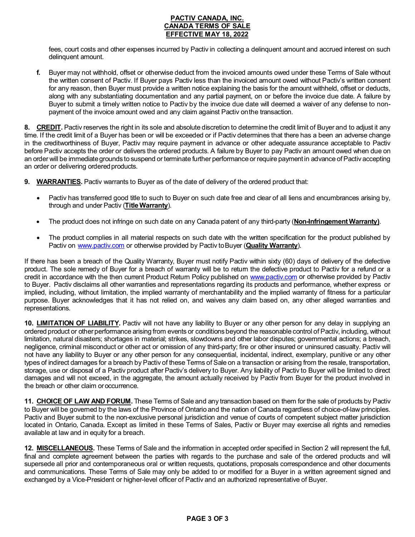### **PACTIV CANADA, INC. CANADA TERMS OF SALE EFFECTIVE MAY 18, 2022**

fees, court costs and other expenses incurred by Pactiv in collecting a delinquent amount and accrued interest on such delinquent amount.

**f.** Buyer may not withhold, offset or otherwise deduct from the invoiced amounts owed under these Terms of Sale without the written consent of Pactiv. If Buyer pays Pactiv less than the invoiced amount owed without Pactiv's written consent for any reason, then Buyer must provide a written notice explaining the basis for the amount withheld, offset or deducts, along with any substantiating documentation and any partial payment, on or before the invoice due date. A failure by Buyer to submit a timely written notice to Pactiv by the invoice due date will deemed a waiver of any defense to nonpayment of the invoice amount owed and any claim against Pactiv onthe transaction.

**8.** CREDIT. Pactiv reserves the right in its sole and absolute discretion to determine the credit limit of Buyer and to adjust it any time. If the credit limit of a Buyer has been or will be exceeded or if Pactiv determines that there has a been an adverse change in the creditworthiness of Buyer, Pactiv may require payment in advance or other adequate assurance acceptable to Pactiv before Pactiv accepts the order or delivers the ordered products. A failure by Buyer to pay Pactiv an amount owed when due on an order will be immediate grounds to suspend or terminate further performance or require payment in advance of Pactiv accepting an order or delivering ordered products.

**9. WARRANTIES.** Pactiv warrants to Buyer as of the date of delivery of the ordered product that:

- Pactiv has transferred good title to such to Buyer on such date free and clear of all liens and encumbrances arising by, through and under Pactiv (**Title Warranty**).
- The product does not infringe on such date on any Canada patent of any third-party (**Non-Infringement Warranty)**.
- The product complies in all material respects on such date with the written specification for the product published by Pactiv on [www.pactiv.com](http://www.pactiv.com/) or otherwise provided by Pactiv toBuyer (**Quality Warranty**).

If there has been a breach of the Quality Warranty, Buyer must notify Pactiv within sixty (60) days of delivery of the defective product. The sole remedy of Buyer for a breach of warranty will be to return the defective product to Pactiv for a refund or a credit in accordance with the then current Product Return Policy published on [www.pactiv.com](http://www.pactiv.com/) or otherwise provided by Pactiv to Buyer. Pactiv disclaims all other warranties and representations regarding its products and performance, whether express or implied, including, without limitation, the implied warranty of merchantability and the implied warranty of fitness for a particular purpose. Buyer acknowledges that it has not relied on, and waives any claim based on, any other alleged warranties and representations.

**10. LIMITATION OF LIABILITY.** Pactiv will not have any liability to Buyer or any other person for any delay in supplying an ordered product or other performance arising from events or conditions beyond the reasonable control of Pactiv, including, without limitation, natural disasters; shortages in material; strikes, slowdowns and other labor disputes; governmental actions; a breach, negligence, criminal misconduct or other act or omission of any third-party; fire or other insured or uninsured casualty. Pactiv will not have any liability to Buyer or any other person for any consequential, incidental, indirect, exemplary, punitive or any other types of indirect damages for a breach by Pactiv of these Terms of Sale on a transaction or arising from the resale, transportation, storage, use or disposal of a Pactiv product after Pactiv's delivery to Buyer. Any liability of Pactiv to Buyer will be limited to direct damages and will not exceed, in the aggregate, the amount actually received by Pactiv from Buyer for the product involved in the breach or other claim oroccurrence.

**11. CHOICE OF LAW AND FORUM.** These Terms of Sale and any transaction based on them for the sale of products by Pactiv to Buyer will be governed by the laws of the Province of Ontario and the nation of Canada regardless of choice-of-law principles. Pactiv and Buyer submit to the non-exclusive personal jurisdiction and venue of courts of competent subject matter jurisdiction located in Ontario, Canada. Except as limited in these Terms of Sales, Pactiv or Buyer may exercise all rights and remedies available at law and in equity for a breach.

**12. MISCELLANEOUS.** These Terms of Sale and the information in accepted order specified in Section 2 will represent the full, final and complete agreement between the parties with regards to the purchase and sale of the ordered products and will supersede all prior and contemporaneous oral or written requests, quotations, proposals correspondence and other documents and communications. These Terms of Sale may only be added to or modified for a Buyer in a written agreement signed and exchanged by a Vice-President or higher-level officer of Pactiv and an authorized representative of Buyer.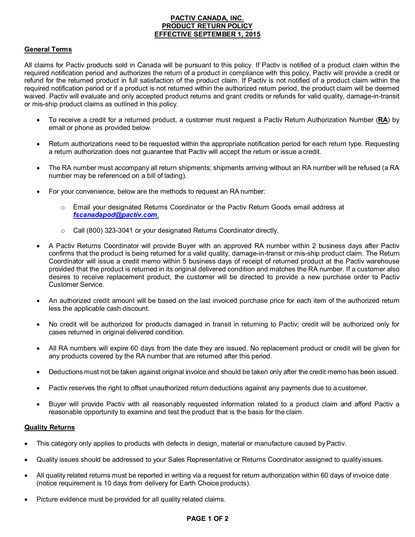### **PACTIV CANADA, INC. PRODUCT RETURN POLICY EFFECTIVE SEPTEMBER 1, 2015**

#### **General Terms**

All claims for Pactiv products sold in Canada will be pursuant to this policy. If Pactiv is notified of a product claim within the required notification period and authorizes the return of a product in compliance with this policy, Pactiv will provide a credit or refund for the returned product in full satisfaction of the product claim. If Pactiv is not notified of a product claim within the required notification period or if a product is not returned within the authorized return period, the product claim will be deemed waived. Pactiv will evaluate and only accepted product returns and grant credits or refunds for valid quality, damage-in-transit or mis-ship product claims as outlined in this policy.

- To receive a credit for a returned product, a customer must request a Pactiv Return Authorization Number (**RA**) by email or phone as provided below.
- Return authorizations need to be requested within the appropriate notification period for each return type. Requesting a return authorization does not guarantee that Pactiv will accept the return or issue a credit.
- The RA number must accompany all return shipments; shipments arriving without an RA number will be refused (a RA number may be referenced on a bill of lading).
- For your convenience, below are the methods to request an RA number:
	- o Email your designated Returns Coordinator or the Pactiv Return Goods email address at *[fscanadapod@pactiv.com](mailto:fscanadapod@pactiv.com)*.
	- o Call (800) 323-3041 or your designated Returns Coordinator directly.
- A Pactiv Returns Coordinator will provide Buyer with an approved RA number within 2 business days after Pactiv confirms that the product is being returned for a valid quality, damage-in-transit or mis-ship product claim. The Return Coordinator will issue a credit memo within 5 business days of receipt of returned product at the Pactiv warehouse provided that the product is returned in its original delivered condition and matches the RA number. If a customer also desires to receive replacement product, the customer will be directed to provide a new purchase order to Pactiv Customer Service.
- An authorized credit amount will be based on the last invoiced purchase price for each item of the authorized return less the applicable cash discount.
- No credit will be authorized for products damaged in transit in returning to Pactiv; credit will be authorized only for cases returned in original delivered condition.
- All RA numbers will expire 60 days from the date they are issued. No replacement product or credit will be given for any products covered by the RA number that are returned after this period.
- Deductions must not be taken against original invoice and should be taken only after the credit memo has been issued.
- Pactiv reserves the right to offset unauthorized return deductions against any payments due to a customer.
- Buyer will provide Pactiv with all reasonably requested information related to a product claim and afford Pactiv a reasonable opportunity to examine and test the product that is the basis for the claim.

#### **Quality Returns**

- This category only applies to products with defects in design, material or manufacture caused by Pactiv.
- Quality issues should be addressed to your Sales Representative or Returns Coordinator assigned to quality issues.
- All quality related returns must be reported in writing via a request for return authorization within 60 days of invoice date (notice requirement is 10 days from delivery for Earth Choice products).
- Picture evidence must be provided for all quality related claims.